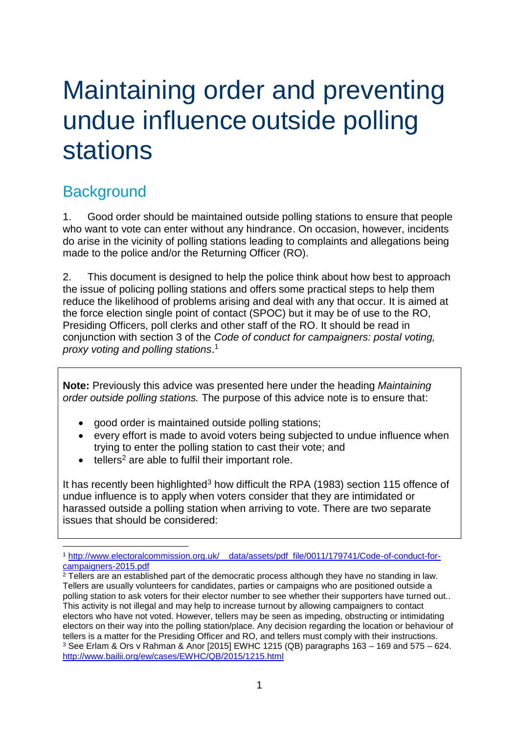# Maintaining order and preventing undue influence outside polling stations

## **Background**

1. Good order should be maintained outside polling stations to ensure that people who want to vote can enter without any hindrance. On occasion, however, incidents do arise in the vicinity of polling stations leading to complaints and allegations being made to the police and/or the Returning Officer (RO).

2. This document is designed to help the police think about how best to approach the issue of policing polling stations and offers some practical steps to help them reduce the likelihood of problems arising and deal with any that occur. It is aimed at the force election single point of contact (SPOC) but it may be of use to the RO, Presiding Officers, poll clerks and other staff of the RO. It should be read in conjunction with section 3 of the *Code of conduct for campaigners: postal voting, proxy voting and polling stations*. 1

**Note:** Previously this advice was presented here under the heading *Maintaining order outside polling stations.* The purpose of this advice note is to ensure that:

- good order is maintained outside polling stations;
- every effort is made to avoid voters being subjected to undue influence when trying to enter the polling station to cast their vote; and
- $\bullet$  tellers<sup>2</sup> are able to fulfil their important role.

It has recently been highlighted<sup>3</sup> how difficult the RPA (1983) section 115 offence of undue influence is to apply when voters consider that they are intimidated or harassed outside a polling station when arriving to vote. There are two separate issues that should be considered:

<sup>1</sup> <sup>1</sup> [http://www.electoralcommission.org.uk/\\_\\_data/assets/pdf\\_file/0011/179741/Code-of-conduct-for](http://www.electoralcommission.org.uk/__data/assets/pdf_file/0011/179741/Code-of-conduct-for-campaigners-2015.pdf)[campaigners-2015.pdf](http://www.electoralcommission.org.uk/__data/assets/pdf_file/0011/179741/Code-of-conduct-for-campaigners-2015.pdf)

<sup>&</sup>lt;sup>2</sup> Tellers are an established part of the democratic process although they have no standing in law. Tellers are usually volunteers for candidates, parties or campaigns who are positioned outside a polling station to ask voters for their elector number to see whether their supporters have turned out.. This activity is not illegal and may help to increase turnout by allowing campaigners to contact electors who have not voted. However, tellers may be seen as impeding, obstructing or intimidating electors on their way into the polling station/place. Any decision regarding the location or behaviour of tellers is a matter for the Presiding Officer and RO, and tellers must comply with their instructions. <sup>3</sup> See Erlam & Ors v Rahman & Anor [2015] EWHC 1215 (QB) paragraphs 163 – 169 and 575 – 624. <http://www.bailii.org/ew/cases/EWHC/QB/2015/1215.html>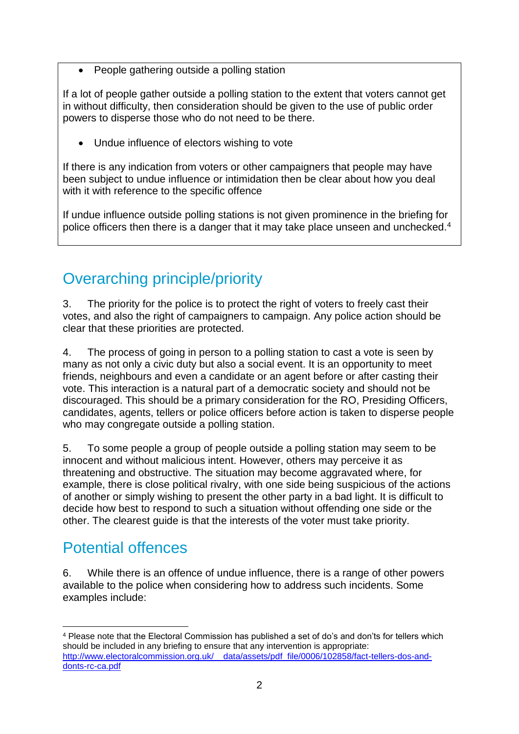• People gathering outside a polling station

If a lot of people gather outside a polling station to the extent that voters cannot get in without difficulty, then consideration should be given to the use of public order powers to disperse those who do not need to be there.

• Undue influence of electors wishing to vote

If there is any indication from voters or other campaigners that people may have been subject to undue influence or intimidation then be clear about how you deal with it with reference to the specific offence

If undue influence outside polling stations is not given prominence in the briefing for police officers then there is a danger that it may take place unseen and unchecked.<sup>4</sup>

## Overarching principle/priority

3. The priority for the police is to protect the right of voters to freely cast their votes, and also the right of campaigners to campaign. Any police action should be clear that these priorities are protected.

4. The process of going in person to a polling station to cast a vote is seen by many as not only a civic duty but also a social event. It is an opportunity to meet friends, neighbours and even a candidate or an agent before or after casting their vote. This interaction is a natural part of a democratic society and should not be discouraged. This should be a primary consideration for the RO, Presiding Officers, candidates, agents, tellers or police officers before action is taken to disperse people who may congregate outside a polling station.

5. To some people a group of people outside a polling station may seem to be innocent and without malicious intent. However, others may perceive it as threatening and obstructive. The situation may become aggravated where, for example, there is close political rivalry, with one side being suspicious of the actions of another or simply wishing to present the other party in a bad light. It is difficult to decide how best to respond to such a situation without offending one side or the other. The clearest guide is that the interests of the voter must take priority.

### Potential offences

6. While there is an offence of undue influence, there is a range of other powers available to the police when considering how to address such incidents. Some examples include:

<sup>1</sup> <sup>4</sup> Please note that the Electoral Commission has published a set of do's and don'ts for tellers which should be included in any briefing to ensure that any intervention is appropriate: http://www.electoralcommission.org.uk/ data/assets/pdf file/0006/102858/fact-tellers-dos-and[donts-rc-ca.pdf](http://www.electoralcommission.org.uk/__data/assets/pdf_file/0006/102858/fact-tellers-dos-and-donts-rc-ca.pdf)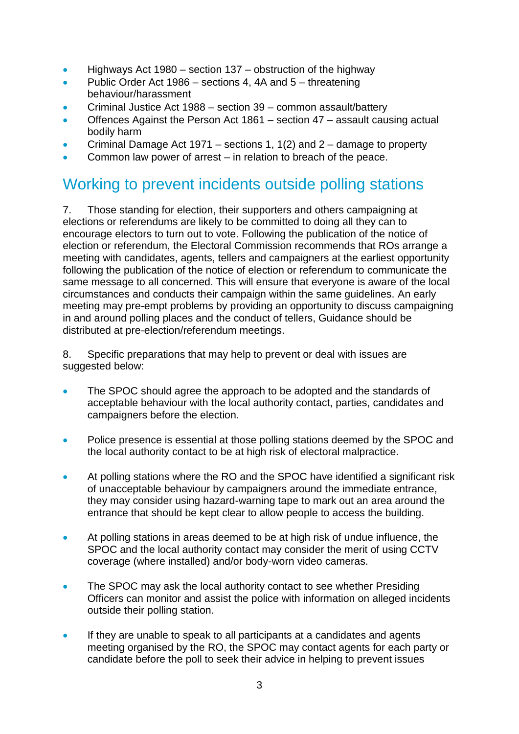- $\bullet$  Highways Act 1980 section 137 obstruction of the highway
- Public Order Act 1986 sections 4, 4A and 5 threatening behaviour/harassment
- Criminal Justice Act 1988 section 39 common assault/battery
- Offences Against the Person Act 1861 section 47 assault causing actual bodily harm
- Criminal Damage Act 1971 sections 1, 1(2) and 2 damage to property
- Common law power of arrest in relation to breach of the peace.

### Working to prevent incidents outside polling stations

7. Those standing for election, their supporters and others campaigning at elections or referendums are likely to be committed to doing all they can to encourage electors to turn out to vote. Following the publication of the notice of election or referendum, the Electoral Commission recommends that ROs arrange a meeting with candidates, agents, tellers and campaigners at the earliest opportunity following the publication of the notice of election or referendum to communicate the same message to all concerned. This will ensure that everyone is aware of the local circumstances and conducts their campaign within the same guidelines. An early meeting may pre-empt problems by providing an opportunity to discuss campaigning in and around polling places and the conduct of tellers, Guidance should be distributed at pre-election/referendum meetings.

8. Specific preparations that may help to prevent or deal with issues are suggested below:

- The SPOC should agree the approach to be adopted and the standards of acceptable behaviour with the local authority contact, parties, candidates and campaigners before the election.
- Police presence is essential at those polling stations deemed by the SPOC and the local authority contact to be at high risk of electoral malpractice.
- At polling stations where the RO and the SPOC have identified a significant risk of unacceptable behaviour by campaigners around the immediate entrance, they may consider using hazard-warning tape to mark out an area around the entrance that should be kept clear to allow people to access the building.
- At polling stations in areas deemed to be at high risk of undue influence, the SPOC and the local authority contact may consider the merit of using CCTV coverage (where installed) and/or body-worn video cameras.
- The SPOC may ask the local authority contact to see whether Presiding Officers can monitor and assist the police with information on alleged incidents outside their polling station.
- If they are unable to speak to all participants at a candidates and agents meeting organised by the RO, the SPOC may contact agents for each party or candidate before the poll to seek their advice in helping to prevent issues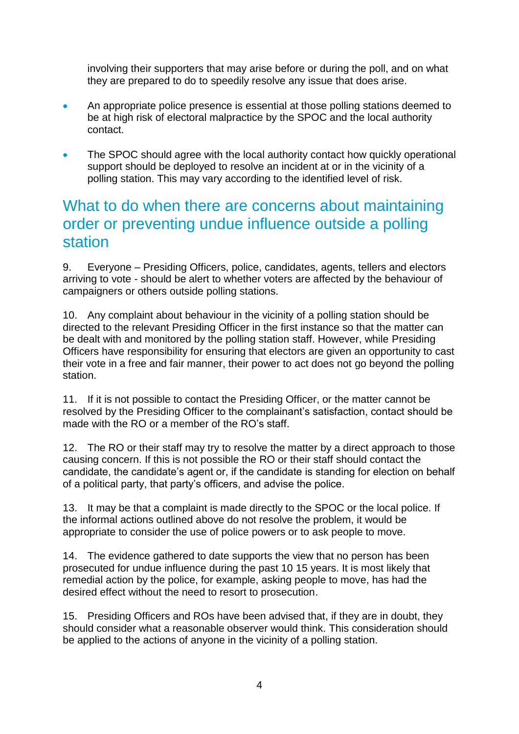involving their supporters that may arise before or during the poll, and on what they are prepared to do to speedily resolve any issue that does arise.

- An appropriate police presence is essential at those polling stations deemed to be at high risk of electoral malpractice by the SPOC and the local authority contact.
- The SPOC should agree with the local authority contact how quickly operational support should be deployed to resolve an incident at or in the vicinity of a polling station. This may vary according to the identified level of risk.

#### What to do when there are concerns about maintaining order or preventing undue influence outside a polling station

9. Everyone – Presiding Officers, police, candidates, agents, tellers and electors arriving to vote - should be alert to whether voters are affected by the behaviour of campaigners or others outside polling stations.

10. Any complaint about behaviour in the vicinity of a polling station should be directed to the relevant Presiding Officer in the first instance so that the matter can be dealt with and monitored by the polling station staff. However, while Presiding Officers have responsibility for ensuring that electors are given an opportunity to cast their vote in a free and fair manner, their power to act does not go beyond the polling station.

11. If it is not possible to contact the Presiding Officer, or the matter cannot be resolved by the Presiding Officer to the complainant's satisfaction, contact should be made with the RO or a member of the RO's staff.

12. The RO or their staff may try to resolve the matter by a direct approach to those causing concern. If this is not possible the RO or their staff should contact the candidate, the candidate's agent or, if the candidate is standing for election on behalf of a political party, that party's officers, and advise the police.

13. It may be that a complaint is made directly to the SPOC or the local police. If the informal actions outlined above do not resolve the problem, it would be appropriate to consider the use of police powers or to ask people to move.

14. The evidence gathered to date supports the view that no person has been prosecuted for undue influence during the past 10 15 years. It is most likely that remedial action by the police, for example, asking people to move, has had the desired effect without the need to resort to prosecution.

15. Presiding Officers and ROs have been advised that, if they are in doubt, they should consider what a reasonable observer would think. This consideration should be applied to the actions of anyone in the vicinity of a polling station.